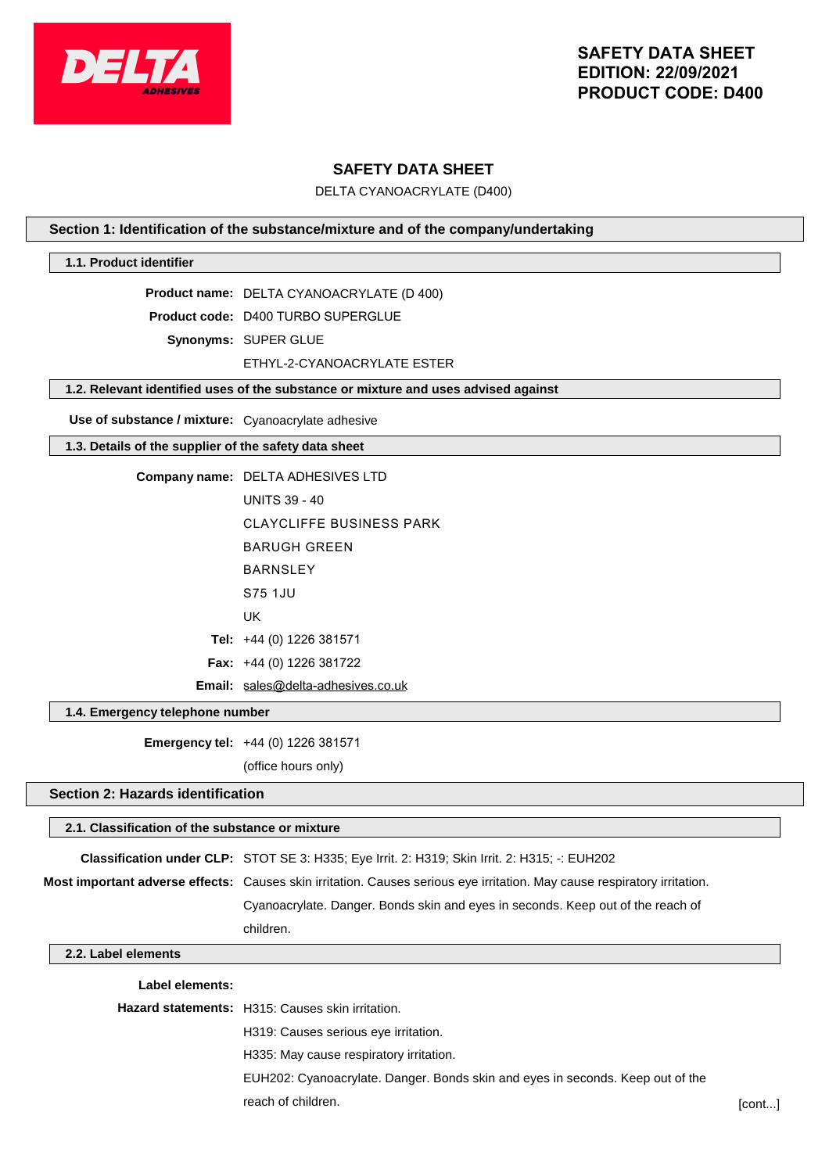

## **SAFETY DATA SHEET**

DELTA CYANOACRYLATE (D400)

## **Section 1: Identification of the substance/mixture and of the company/undertaking**

## **1.1. Product identifier**

**Product name:** DELTA CYANOACRYLATE (D 400)

**Product code:** D400 TURBO SUPERGLUE

**Synonyms:** SUPER GLUE

ETHYL-2-CYANOACRYLATE ESTER

## **1.2. Relevant identified uses of the substance or mixture and uses advised against**

**Use of substance / mixture:** Cyanoacrylate adhesive

## **1.3. Details of the supplier of the safety data sheet**

| <b>Company name: DELTA ADHESIVES LTD</b>  |
|-------------------------------------------|
| <b>UNITS 39 - 40</b>                      |
| CLAYCLIFFE BUSINESS PARK                  |
| BARUGH GRFFN                              |
| <b>BARNSLEY</b>                           |
| S75 1.JU                                  |
| UK                                        |
| Tel: $+44$ (0) 1226 381571                |
| <b>Fax:</b> $+44$ (0) 1226 381722         |
| <b>Email:</b> sales@delta-adhesives.co.uk |

#### **1.4. Emergency telephone number**

**Emergency tel:** +44 (0) 1226 381571

(office hours only)

## **Section 2: Hazards identification**

# **2.1. Classification of the substance or mixture Classification under CLP:** STOT SE 3: H335; Eye Irrit. 2: H319; Skin Irrit. 2: H315; -: EUH202 **Most important adverse effects:** Causes skin irritation. Causes serious eye irritation. May cause respiratory irritation. Cyanoacrylate. Danger. Bonds skin and eyes in seconds. Keep out of the reach of children.

## **2.2. Label elements**

#### **Label elements:**

| <b>Hazard statements:</b> H315: Causes skin irritation.                        |        |
|--------------------------------------------------------------------------------|--------|
| H319: Causes serious eye irritation.                                           |        |
| H335: May cause respiratory irritation.                                        |        |
| EUH202: Cyanoacrylate. Danger. Bonds skin and eyes in seconds. Keep out of the |        |
| reach of children.                                                             | [cont] |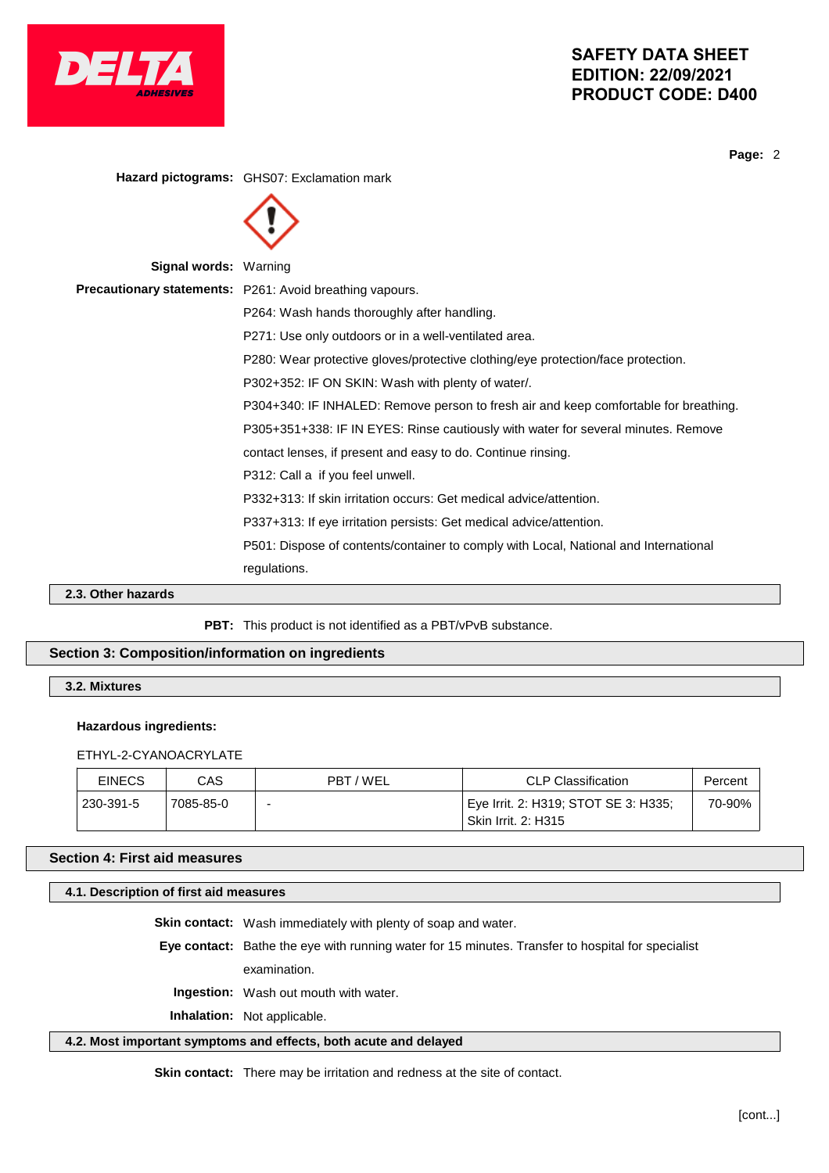

**Page:** 2

**Hazard pictograms:** GHS07: Exclamation mark **Signal words:** Warning **Precautionary statements:** P261: Avoid breathing vapours. P264: Wash hands thoroughly after handling. P271: Use only outdoors or in a well-ventilated area. P280: Wear protective gloves/protective clothing/eye protection/face protection. P302+352: IF ON SKIN: Wash with plenty of water/. P304+340: IF INHALED: Remove person to fresh air and keep comfortable for breathing. P305+351+338: IF IN EYES: Rinse cautiously with water for several minutes. Remove contact lenses, if present and easy to do. Continue rinsing. P312: Call a if you feel unwell. P332+313: If skin irritation occurs: Get medical advice/attention. P337+313: If eye irritation persists: Get medical advice/attention. P501: Dispose of contents/container to comply with Local, National and International regulations.

**2.3. Other hazards**

PBT: This product is not identified as a PBT/vPvB substance.

## **Section 3: Composition/information on ingredients**

**3.2. Mixtures**

#### **Hazardous ingredients:**

ETHYL-2-CYANOACRYLATE

| <b>EINECS</b> | CAS       | PBT/WEL | CLP Classification                                                              | Percent |
|---------------|-----------|---------|---------------------------------------------------------------------------------|---------|
| 230-391-5     | 7085-85-0 | -       | <sup>∣</sup> Eye Irrit. 2: H319; STOT SE 3: H335;<br><b>Skin Irrit. 2: H315</b> | 70-90%  |

## **Section 4: First aid measures**

## **4.1. Description of first aid measures**

**Skin contact:** Wash immediately with plenty of soap and water.

**Eye contact:** Bathe the eye with running water for 15 minutes. Transfer to hospital for specialist

examination.

**Ingestion:** Wash out mouth with water.

**Inhalation:** Not applicable.

## **4.2. Most important symptoms and effects, both acute and delayed**

**Skin contact:** There may be irritation and redness at the site of contact.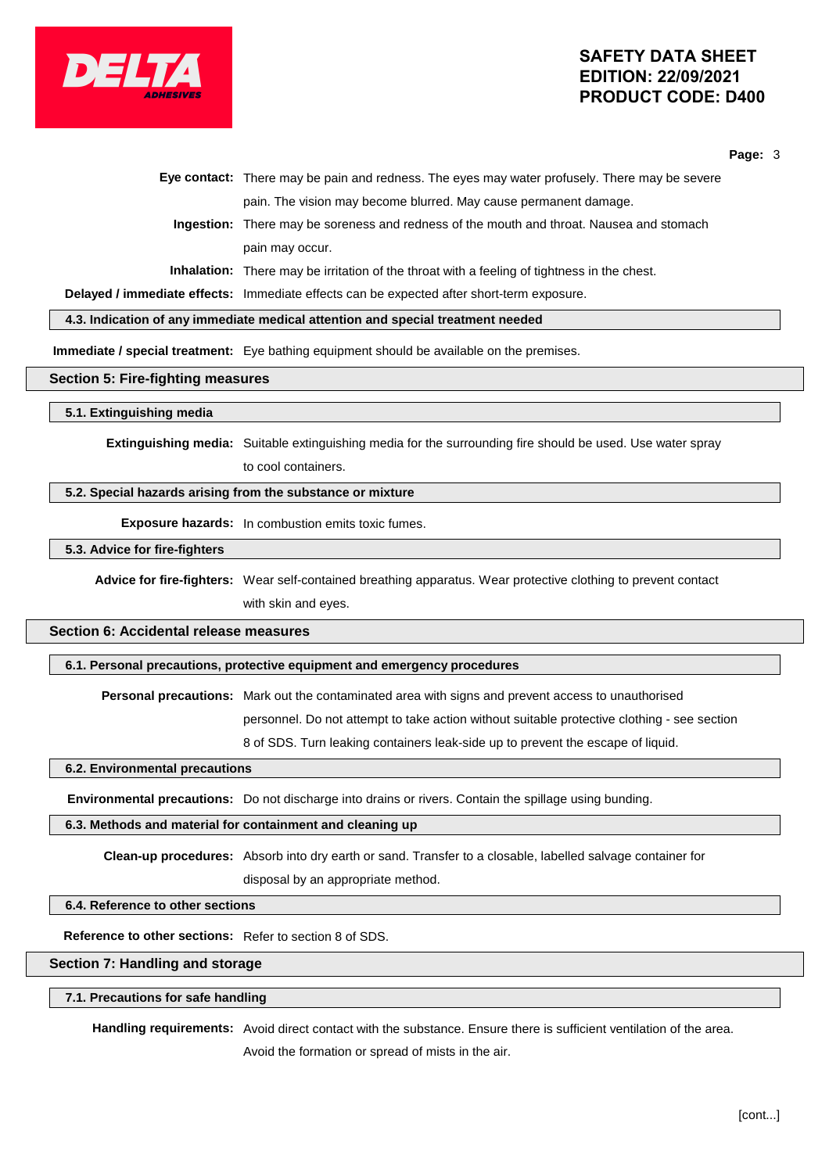

**Page:** 3

| Eye contact: There may be pain and redness. The eyes may water profusely. There may be severe      |
|----------------------------------------------------------------------------------------------------|
| pain. The vision may become blurred. May cause permanent damage.                                   |
| Ingestion: There may be soreness and redness of the mouth and throat. Nausea and stomach           |
| pain may occur.                                                                                    |
| <b>Inhalation:</b> There may be irritation of the throat with a feeling of tightness in the chest. |
|                                                                                                    |

**Delayed / immediate effects:** Immediate effects can be expected after short-term exposure.

**4.3. Indication of any immediate medical attention and special treatment needed**

**Immediate / special treatment:** Eye bathing equipment should be available on the premises.

#### **Section 5: Fire-fighting measures**

#### **5.1. Extinguishing media**

**Extinguishing media:** Suitable extinguishing media for the surrounding fire should be used. Use water spray to cool containers.

## **5.2. Special hazards arising from the substance or mixture**

**Exposure hazards:** In combustion emits toxic fumes.

## **5.3. Advice for fire-fighters**

**Advice for fire-fighters:** Wear self-contained breathing apparatus. Wear protective clothing to prevent contact with skin and eyes.

## **Section 6: Accidental release measures**

## **6.1. Personal precautions, protective equipment and emergency procedures**

**Personal precautions:** Mark out the contaminated area with signs and prevent access to unauthorised

personnel. Do not attempt to take action without suitable protective clothing - see section

8 of SDS. Turn leaking containers leak-side up to prevent the escape of liquid.

## **6.2. Environmental precautions**

**Environmental precautions:** Do not discharge into drains or rivers. Contain the spillage using bunding.

#### **6.3. Methods and material for containment and cleaning up**

**Clean-up procedures:** Absorb into dry earth or sand. Transfer to a closable, labelled salvage container for disposal by an appropriate method.

## **6.4. Reference to other sections**

**Reference to other sections:** Refer to section 8 of SDS.

## **Section 7: Handling and storage**

#### **7.1. Precautions for safe handling**

**Handling requirements:** Avoid direct contact with the substance. Ensure there is sufficient ventilation of the area. Avoid the formation or spread of mists in the air.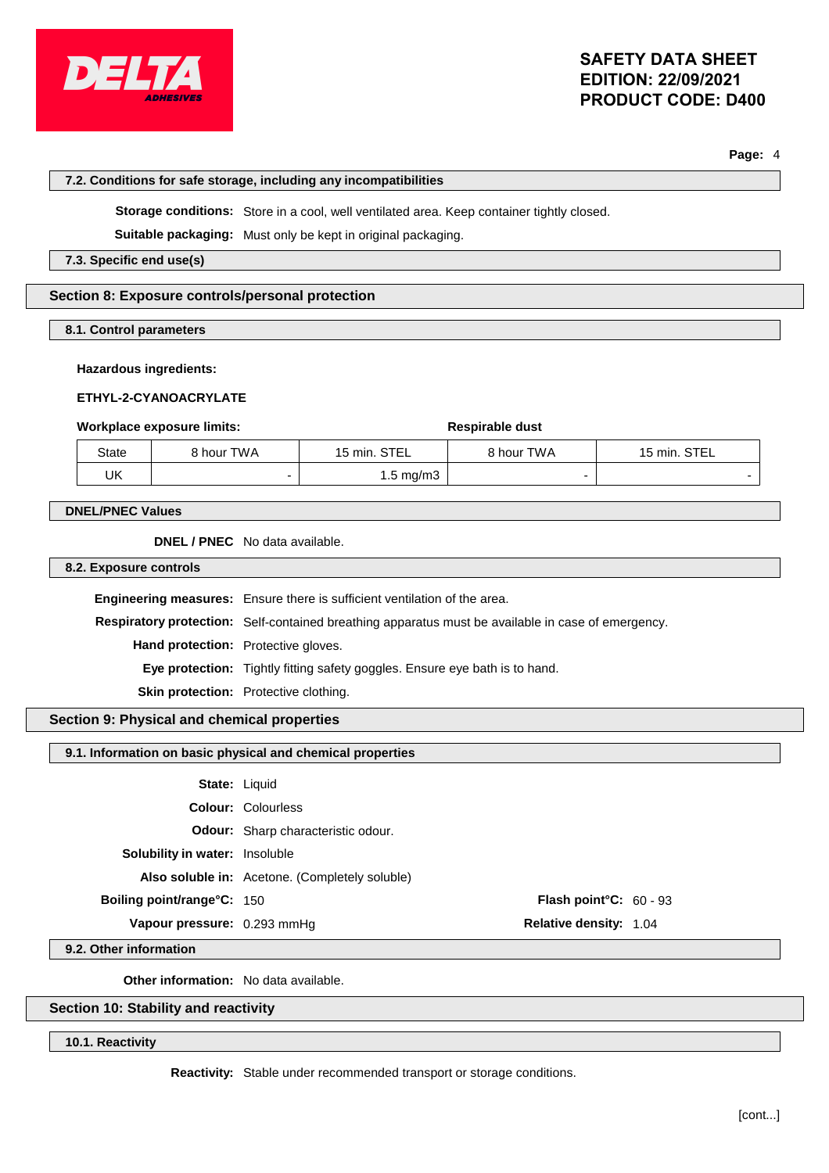

**Page:** 4

## **7.2. Conditions for safe storage, including any incompatibilities**

**Storage conditions:** Store in a cool, well ventilated area. Keep container tightly closed.

**Suitable packaging:** Must only be kept in original packaging.

**7.3. Specific end use(s)**

## **Section 8: Exposure controls/personal protection**

**8.1. Control parameters**

## **Hazardous ingredients:**

## **ETHYL-2-CYANOACRYLATE**

## **Workplace exposure limits:**  $\qquad \qquad$  **Respirable** dust

| State | 8 hour TWA | 15 min. STEL | 8 hour TWA | 15 min. STEL |
|-------|------------|--------------|------------|--------------|
| UK    |            | 1.5 mg/m3    |            |              |

## **DNEL/PNEC Values**

**DNEL / PNEC** No data available.

**8.2. Exposure controls**

**Engineering measures:** Ensure there is sufficient ventilation of the area. **Respiratory protection:** Self-contained breathing apparatus must be available in case of emergency. **Hand protection:** Protective gloves. **Eye protection:** Tightly fitting safety goggles. Ensure eye bath is to hand. **Skin protection:** Protective clothing.

## **Section 9: Physical and chemical properties**

## **9.1. Information on basic physical and chemical properties**

| <b>State: Liquid</b><br><b>Colour: Colourless</b><br><b>Odour:</b> Sharp characteristic odour.<br><b>Solubility in water:</b> Insoluble<br>Also soluble in: Acetone. (Completely soluble)<br><b>Boiling point/range°C: 150</b><br>Vapour pressure: 0.293 mmHq | <b>Flash point °C:</b> $60 - 93$<br><b>Relative density: 1.04</b> |
|---------------------------------------------------------------------------------------------------------------------------------------------------------------------------------------------------------------------------------------------------------------|-------------------------------------------------------------------|

**9.2. Other information**

**Other information:** No data available.

## **Section 10: Stability and reactivity**

**10.1. Reactivity**

**Reactivity:** Stable under recommended transport or storage conditions.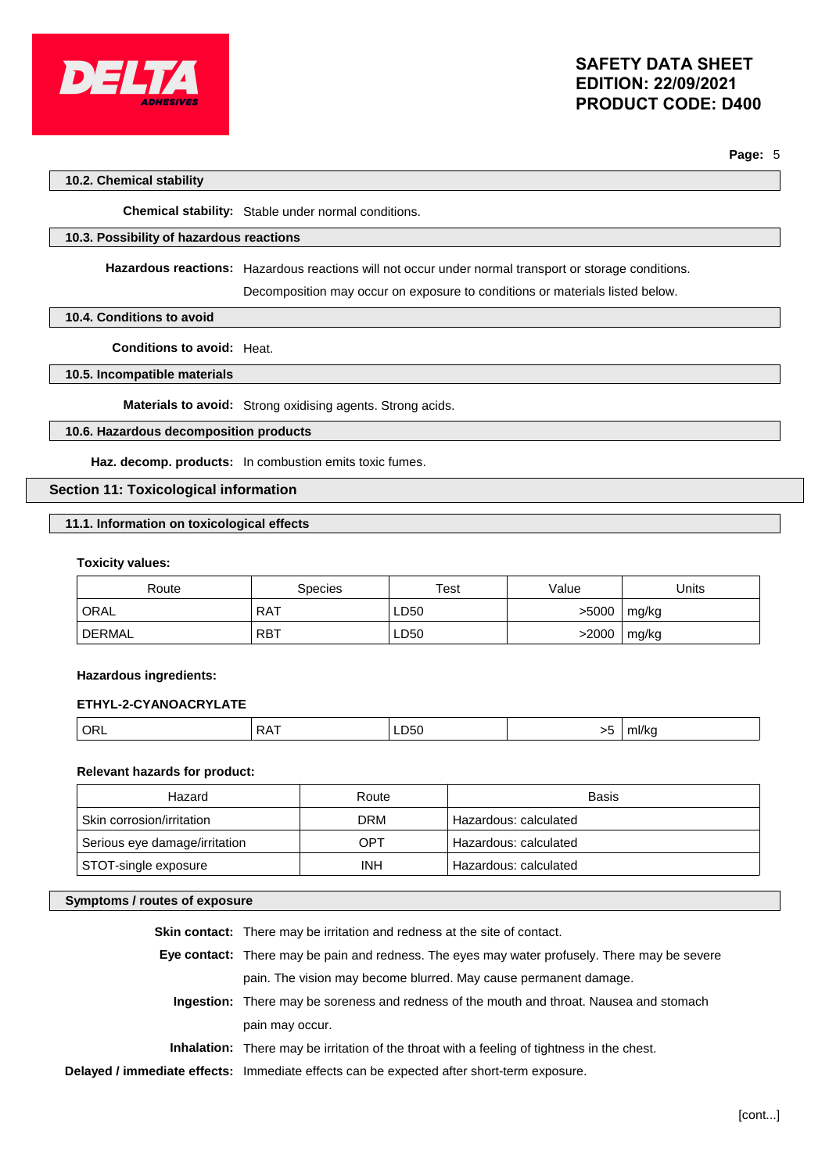

**Page:** 5

## **10.2. Chemical stability**

**Chemical stability:** Stable under normal conditions.

## **10.3. Possibility of hazardous reactions**

**Hazardous reactions:** Hazardous reactions will not occur under normal transport or storage conditions.

Decomposition may occur on exposure to conditions or materials listed below.

## **10.4. Conditions to avoid**

**Conditions to avoid:** Heat.

## **10.5. Incompatible materials**

**Materials to avoid:** Strong oxidising agents. Strong acids.

## **10.6. Hazardous decomposition products**

**Haz. decomp. products:** In combustion emits toxic fumes.

## **Section 11: Toxicological information**

## **11.1. Information on toxicological effects**

#### **Toxicity values:**

| Route  | Species    | Test | Value | Units |
|--------|------------|------|-------|-------|
| ORAL   | <b>RAT</b> | LD50 | >5000 | mg/kg |
| DERMAL | <b>RBT</b> | LD50 | >2000 | mg/kg |

## **Hazardous ingredients:**

## **ETHYL-2-CYANOACRYLATE**

|  |  | ∼<br> | LD50 | $\sim$ | <b>THIRE</b> |
|--|--|-------|------|--------|--------------|
|--|--|-------|------|--------|--------------|

## **Relevant hazards for product:**

| Hazard                        | Route      | Basis                 |
|-------------------------------|------------|-----------------------|
| Skin corrosion/irritation     | <b>DRM</b> | Hazardous: calculated |
| Serious eye damage/irritation | OPT        | Hazardous: calculated |
| STOT-single exposure          | <b>INH</b> | Hazardous: calculated |

## **Symptoms / routes of exposure**

| <b>Skin contact:</b> There may be irritation and redness at the site of contact.                   |
|----------------------------------------------------------------------------------------------------|
| Eye contact: There may be pain and redness. The eyes may water profusely. There may be severe      |
| pain. The vision may become blurred. May cause permanent damage.                                   |
| Ingestion: There may be soreness and redness of the mouth and throat. Nausea and stomach           |
| pain may occur.                                                                                    |
| <b>Inhalation:</b> There may be irritation of the throat with a feeling of tightness in the chest. |
| Delayed / immediate effects: Immediate effects can be expected after short-term exposure.          |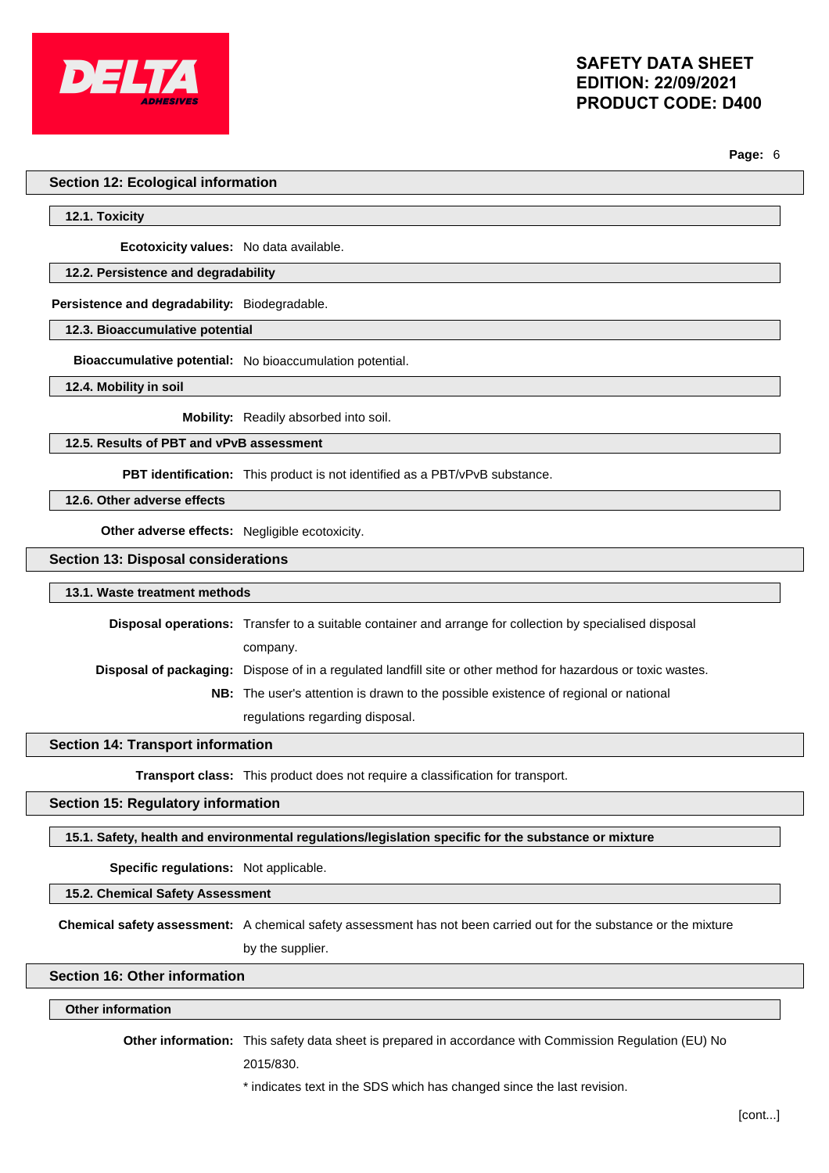

**Page:** 6

#### **Section 12: Ecological information**

**12.1. Toxicity**

**Ecotoxicity values:** No data available.

## **12.2. Persistence and degradability**

**Persistence and degradability:** Biodegradable.

**12.3. Bioaccumulative potential**

**Bioaccumulative potential:** No bioaccumulation potential.

**12.4. Mobility in soil**

**Mobility:** Readily absorbed into soil.

**12.5. Results of PBT and vPvB assessment**

**PBT identification:** This product is not identified as a PBT/vPvB substance.

**12.6. Other adverse effects**

**Other adverse effects:** Negligible ecotoxicity.

**Section 13: Disposal considerations**

#### **13.1. Waste treatment methods**

**Disposal operations:** Transfer to a suitable container and arrange for collection by specialised disposal company. **Disposal of packaging:** Dispose of in a regulated landfill site or other method for hazardous or toxic wastes. **NB:** The user's attention is drawn to the possible existence of regional or national

regulations regarding disposal.

### **Section 14: Transport information**

**Transport class:** This product does not require a classification for transport.

#### **Section 15: Regulatory information**

**15.1. Safety, health and environmental regulations/legislation specific for the substance or mixture**

**Specific regulations:** Not applicable.

**15.2. Chemical Safety Assessment**

**Chemical safety assessment:** A chemical safety assessment has not been carried out for the substance or the mixture by the supplier.

## **Section 16: Other information**

#### **Other information**

**Other information:** This safety data sheet is prepared in accordance with Commission Regulation (EU) No

2015/830.

### \* indicates text in the SDS which has changed since the last revision.